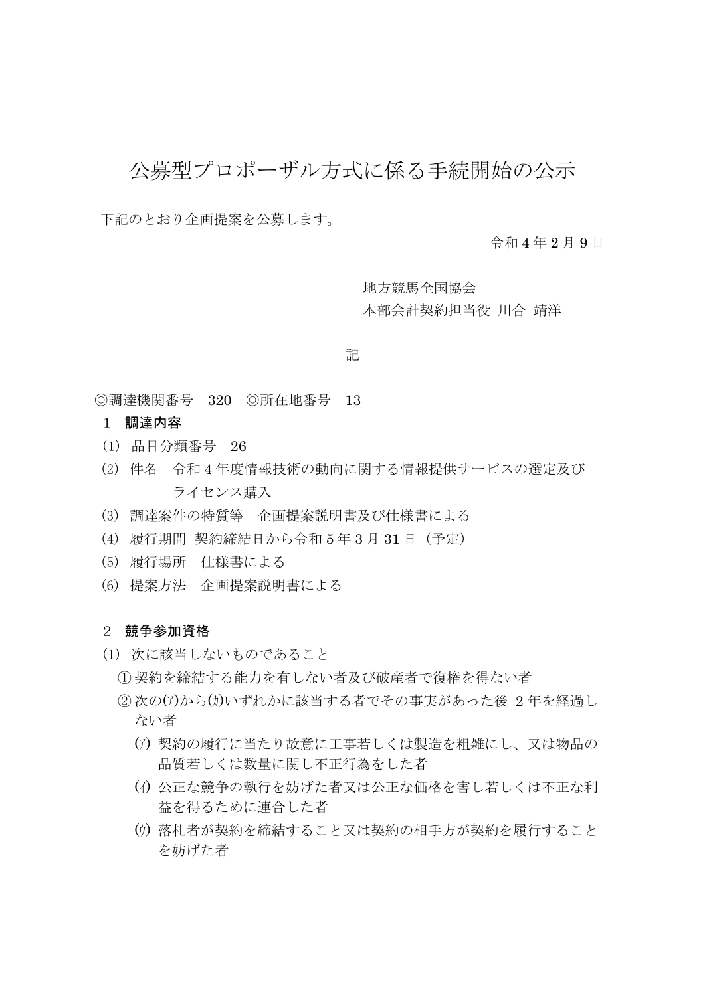## 公募型プロポーザル方式に係る手続開始の公示

下記のとおり企画提案を公募します。

令和 4 年 2 月 9 日

地方競馬全国協会 本部会計契約担当役 川合 靖洋

## 記

◎調達機関番号 320 ◎所在地番号 13

- 1 調達内容
- (1) 品目分類番号 26
- (2) 件名 令和 4 年度情報技術の動向に関する情報提供サービスの選定及び ライセンス購入
- (3) 調達案件の特質等 企画提案説明書及び仕様書による
- (4) 履行期間 契約締結日から令和 5 年 3 月 31 日(予定)
- (5) 履行場所 仕様書による
- (6) 提案方法 企画提案説明書による

## 2 競争参加資格

- (1) 次に該当しないものであること
	- ① 契約を締結する能力を有しない者及び破産者で復権を得ない者
	- ②次の(ア)から(カ)いずれかに該当する者でその事実があった後 2年を経過し ない者
		- (ア) 契約の履行に当たり故意に工事若しくは製造を粗雑にし、又は物品の 品質若しくは数量に関し不正行為をした者
		- (イ) 公正な競争の執行を妨げた者又は公正な価格を害し若しくは不正な利 益を得るために連合した者
		- (ウ) 落札者が契約を締結すること又は契約の相手方が契約を履行すること を妨げた者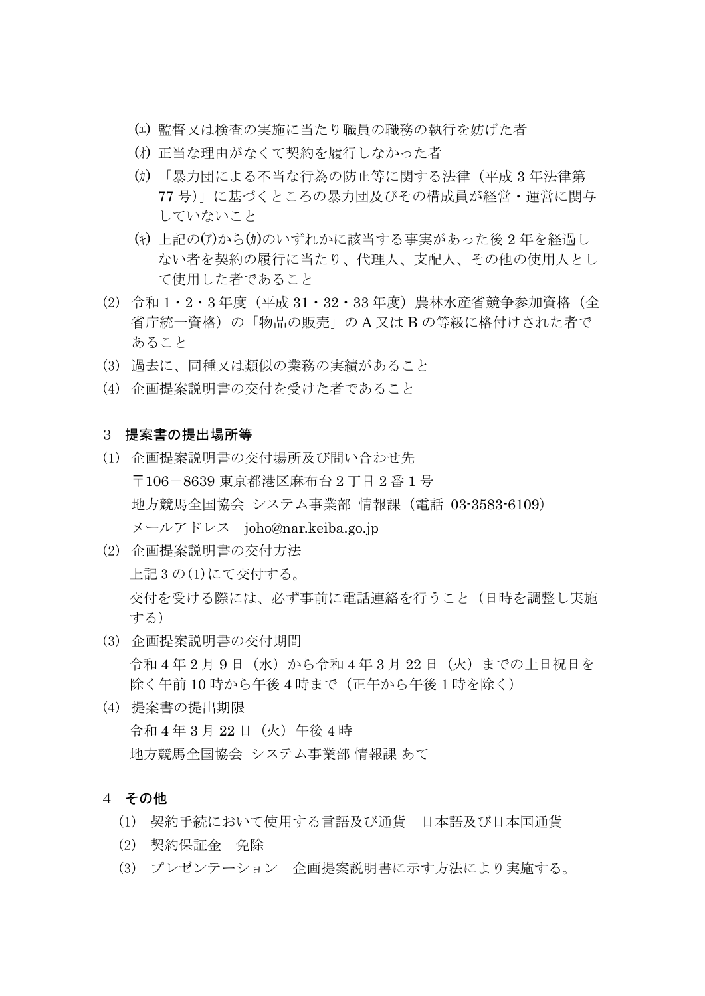- (エ) 監督又は検査の実施に当たり職員の職務の執行を妨げた者
- (オ) 正当な理由がなくて契約を履行しなかった者
- (カ) 「暴力団による不当な行為の防止等に関する法律(平成 3 年法律第 77 号)」に基づくところの暴力団及びその構成員が経営・運営に関与 していないこと
- (キ) 上記の(ア)から(カ)のいずれかに該当する事実があった後 2 年を経過し ない者を契約の履行に当たり、代理人、支配人、その他の使用人とし て使用した者であること
- (2) 令和 1・2・3 年度 (平成 31・32・33 年度) 農林水産省競争参加資格 (全 省庁統一資格)の「物品の販売」の A 又は B の等級に格付けされた者で あること
- (3) 過去に、同種又は類似の業務の実績があること
- (4) 企画提案説明書の交付を受けた者であること

## 3 提案書の提出場所等

- (1) 企画提案説明書の交付場所及び問い合わせ先 〒106-8639 東京都港区麻布台 2 丁目 2 番 1 号 地方競馬全国協会 システム事業部 情報課(電話 03-3583-6109) メールアドレス joho@nar.keiba.go.jp
- (2) 企画提案説明書の交付方法 上記 3 の(1)にて交付する。 交付を受ける際には、必ず事前に電話連絡を行うこと(日時を調整し実施 する)
- (3) 企画提案説明書の交付期間 令和 4 年 2 月 9 日(水)から令和 4 年 3 月 22 日(火)までの土日祝日を 除く午前10時から午後4時まで(正午から午後1時を除く)
- (4) 提案書の提出期限 令和 4 年 3 月 22 日(火)午後 4 時 地方競馬全国協会 システム事業部 情報課 あて
- 4 その他
	- (1) 契約手続において使用する言語及び通貨 日本語及び日本国通貨
	- (2) 契約保証金 免除
	- (3) プレゼンテーション 企画提案説明書に示す方法により実施する。